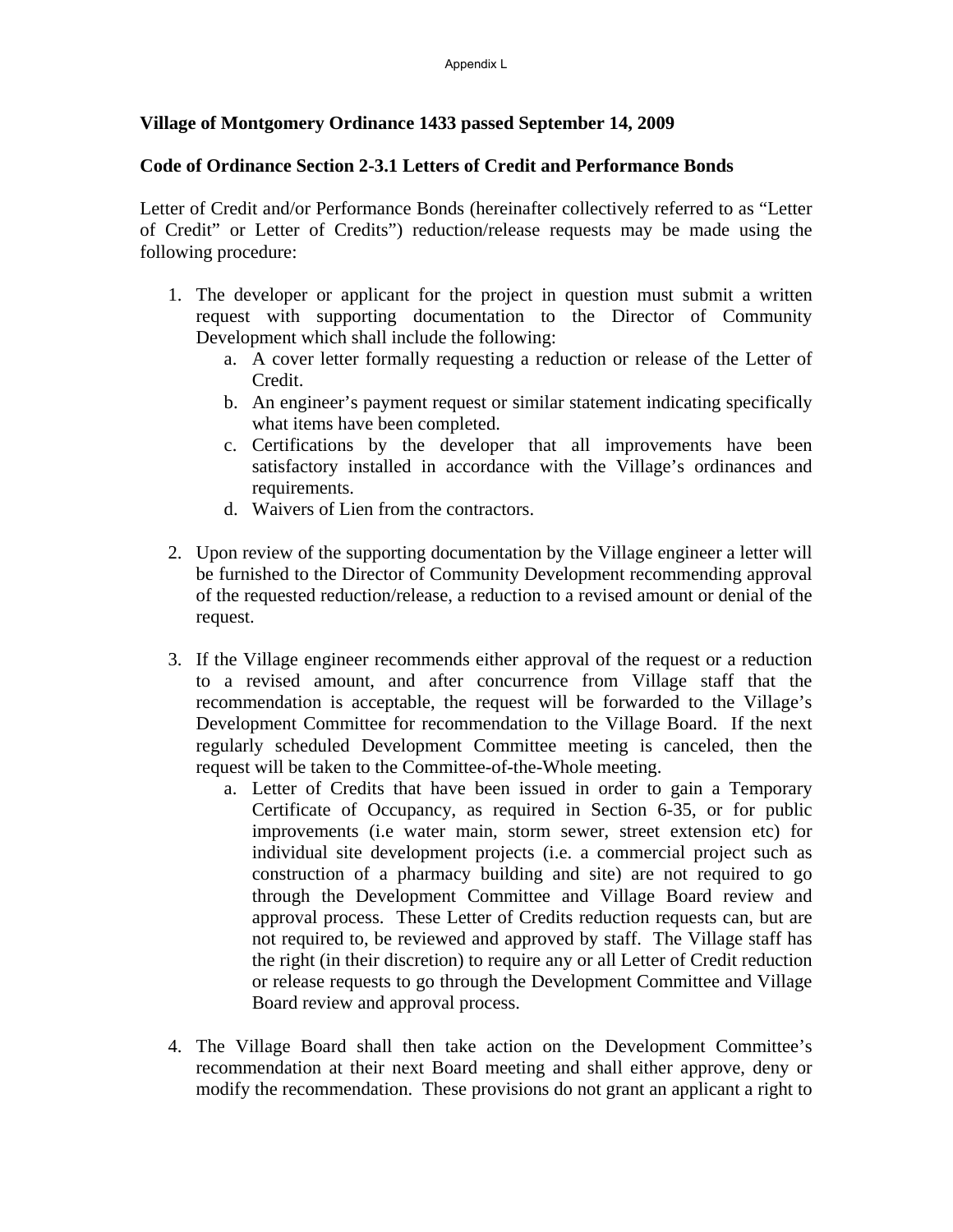## **Village of Montgomery Ordinance 1433 passed September 14, 2009**

## **Code of Ordinance Section 2-3.1 Letters of Credit and Performance Bonds**

Letter of Credit and/or Performance Bonds (hereinafter collectively referred to as "Letter of Credit" or Letter of Credits") reduction/release requests may be made using the following procedure:

- 1. The developer or applicant for the project in question must submit a written request with supporting documentation to the Director of Community Development which shall include the following:
	- a. A cover letter formally requesting a reduction or release of the Letter of Credit.
	- b. An engineer's payment request or similar statement indicating specifically what items have been completed.
	- c. Certifications by the developer that all improvements have been satisfactory installed in accordance with the Village's ordinances and requirements.
	- d. Waivers of Lien from the contractors.
- 2. Upon review of the supporting documentation by the Village engineer a letter will be furnished to the Director of Community Development recommending approval of the requested reduction/release, a reduction to a revised amount or denial of the request.
- 3. If the Village engineer recommends either approval of the request or a reduction to a revised amount, and after concurrence from Village staff that the recommendation is acceptable, the request will be forwarded to the Village's Development Committee for recommendation to the Village Board. If the next regularly scheduled Development Committee meeting is canceled, then the request will be taken to the Committee-of-the-Whole meeting.
	- a. Letter of Credits that have been issued in order to gain a Temporary Certificate of Occupancy, as required in Section 6-35, or for public improvements (i.e water main, storm sewer, street extension etc) for individual site development projects (i.e. a commercial project such as construction of a pharmacy building and site) are not required to go through the Development Committee and Village Board review and approval process. These Letter of Credits reduction requests can, but are not required to, be reviewed and approved by staff. The Village staff has the right (in their discretion) to require any or all Letter of Credit reduction or release requests to go through the Development Committee and Village Board review and approval process.
- 4. The Village Board shall then take action on the Development Committee's recommendation at their next Board meeting and shall either approve, deny or modify the recommendation. These provisions do not grant an applicant a right to